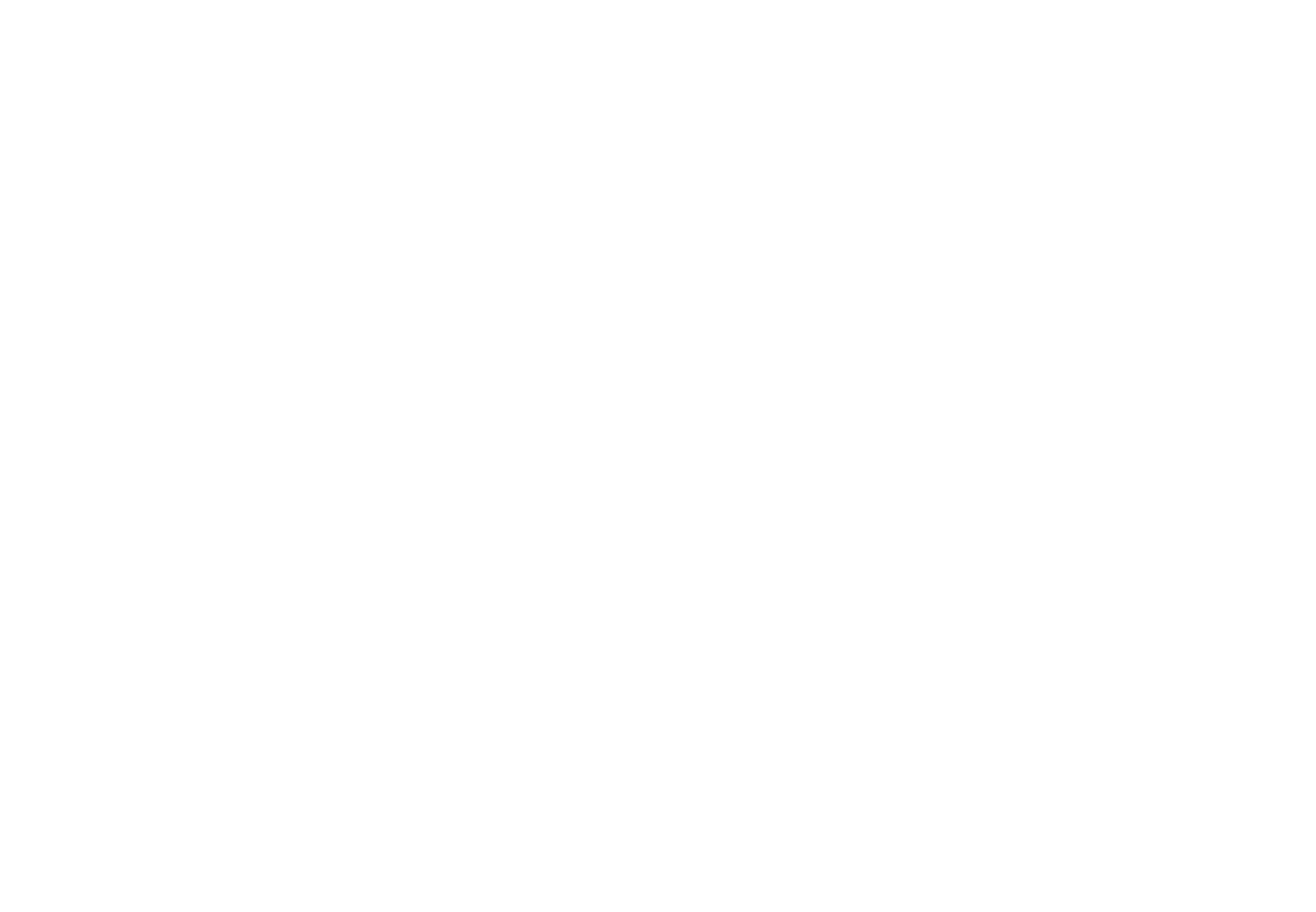

# **THE COMMITTEE** AGENDA & REPORTS

for the meeting

Tuesday 20 October 2020 at 5:30 pm

in the Colonel Light Room Adelaide Town Hall